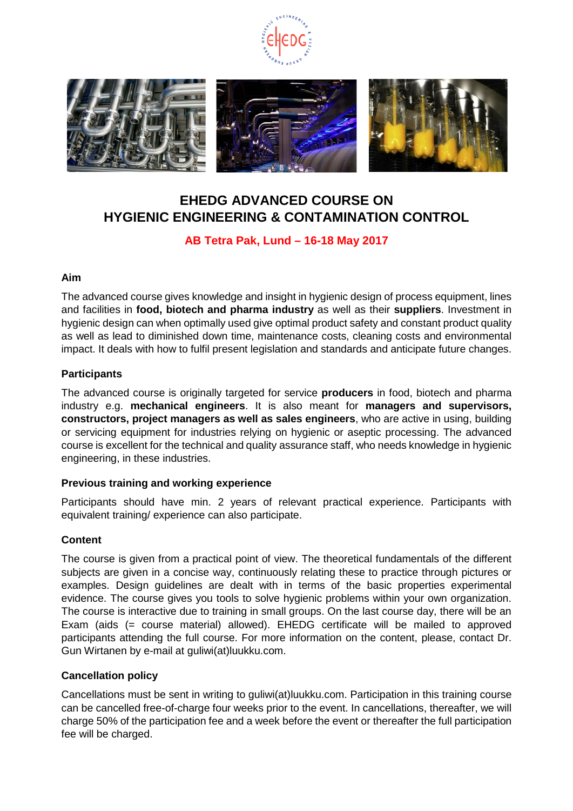



# **EHEDG ADVANCED COURSE ON HYGIENIC ENGINEERING & CONTAMINATION CONTROL**

### **AB Tetra Pak, Lund – 16-18 May 2017**

### **Aim**

The advanced course gives knowledge and insight in hygienic design of process equipment, lines and facilities in **food, biotech and pharma industry** as well as their **suppliers**. Investment in hygienic design can when optimally used give optimal product safety and constant product quality as well as lead to diminished down time, maintenance costs, cleaning costs and environmental impact. It deals with how to fulfil present legislation and standards and anticipate future changes.

### **Participants**

The advanced course is originally targeted for service **producers** in food, biotech and pharma industry e.g. **mechanical engineers**. It is also meant for **managers and supervisors, constructors, project managers as well as sales engineers**, who are active in using, building or servicing equipment for industries relying on hygienic or aseptic processing. The advanced course is excellent for the technical and quality assurance staff, who needs knowledge in hygienic engineering, in these industries.

### **Previous training and working experience**

Participants should have min. 2 years of relevant practical experience. Participants with equivalent training/ experience can also participate.

### **Content**

The course is given from a practical point of view. The theoretical fundamentals of the different subjects are given in a concise way, continuously relating these to practice through pictures or examples. Design guidelines are dealt with in terms of the basic properties experimental evidence. The course gives you tools to solve hygienic problems within your own organization. The course is interactive due to training in small groups. On the last course day, there will be an Exam (aids (= course material) allowed). EHEDG certificate will be mailed to approved participants attending the full course. For more information on the content, please, contact Dr. Gun Wirtanen by e-mail at guliwi(at)luukku.com.

### **Cancellation policy**

Cancellations must be sent in writing to guliwi(at)luukku.com. Participation in this training course can be cancelled free-of-charge four weeks prior to the event. In cancellations, thereafter, we will charge 50% of the participation fee and a week before the event or thereafter the full participation fee will be charged.